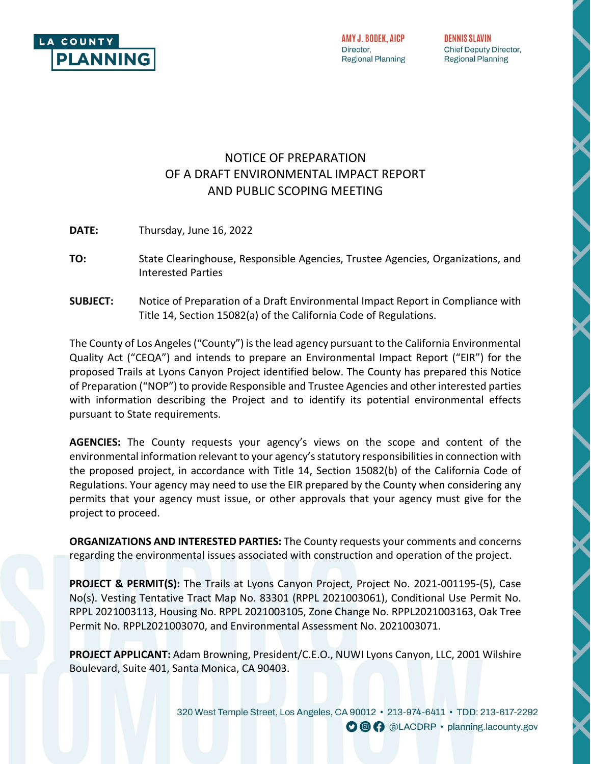

AMY J. BODEK, AICP Director, **Regional Planning**  **DENNIS SLAVIN** Chief Deputy Director, **Regional Planning** 

# NOTICE OF PREPARATION OF A DRAFT ENVIRONMENTAL IMPACT REPORT AND PUBLIC SCOPING MEETING

**DATE:** Thursday, June 16, 2022

- **TO:** State Clearinghouse, Responsible Agencies, Trustee Agencies, Organizations, and Interested Parties
- **SUBJECT:** Notice of Preparation of a Draft Environmental Impact Report in Compliance with Title 14, Section 15082(a) of the California Code of Regulations.

The County of Los Angeles ("County") is the lead agency pursuant to the California Environmental Quality Act ("CEQA") and intends to prepare an Environmental Impact Report ("EIR") for the proposed Trails at Lyons Canyon Project identified below. The County has prepared this Notice of Preparation ("NOP") to provide Responsible and Trustee Agencies and other interested parties with information describing the Project and to identify its potential environmental effects pursuant to State requirements.

**AGENCIES:** The County requests your agency's views on the scope and content of the environmental information relevant to your agency's statutory responsibilities in connection with the proposed project, in accordance with Title 14, Section 15082(b) of the California Code of Regulations. Your agency may need to use the EIR prepared by the County when considering any permits that your agency must issue, or other approvals that your agency must give for the project to proceed.

**ORGANIZATIONS AND INTERESTED PARTIES:** The County requests your comments and concerns regarding the environmental issues associated with construction and operation of the project.

**PROJECT & PERMIT(S):** The Trails at Lyons Canyon Project, Project No. 2021-001195-(5), Case No(s). Vesting Tentative Tract Map No. 83301 (RPPL 2021003061), Conditional Use Permit No. RPPL 2021003113, Housing No. RPPL 2021003105, Zone Change No. RPPL2021003163, Oak Tree Permit No. RPPL2021003070, and Environmental Assessment No. 2021003071.

**PROJECT APPLICANT:** Adam Browning, President/C.E.O., NUWI Lyons Canyon, LLC, 2001 Wilshire Boulevard, Suite 401, Santa Monica, CA 90403.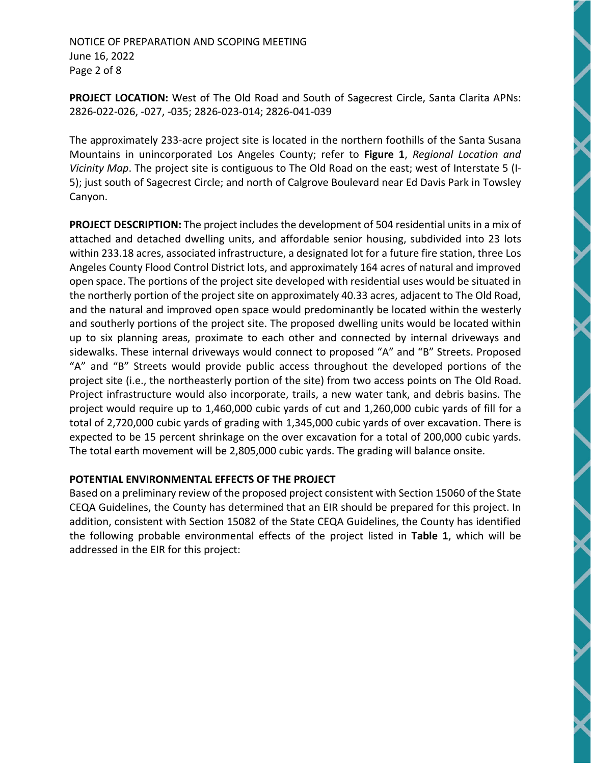#### NOTICE OF PREPARATION AND SCOPING MEETING June 16, 2022 Page 2 of 8

**PROJECT LOCATION:** West of The Old Road and South of Sagecrest Circle, Santa Clarita APNs: 2826-022-026, -027, -035; 2826-023-014; 2826-041-039

The approximately 233-acre project site is located in the northern foothills of the Santa Susana Mountains in unincorporated Los Angeles County; refer to **Figure 1**, *Regional Location and Vicinity Map*. The project site is contiguous to The Old Road on the east; west of Interstate 5 (I-5); just south of Sagecrest Circle; and north of Calgrove Boulevard near Ed Davis Park in Towsley Canyon.

**PROJECT DESCRIPTION:** The project includes the development of 504 residential units in a mix of attached and detached dwelling units, and affordable senior housing, subdivided into 23 lots within 233.18 acres, associated infrastructure, a designated lot for a future fire station, three Los Angeles County Flood Control District lots, and approximately 164 acres of natural and improved open space. The portions of the project site developed with residential uses would be situated in the northerly portion of the project site on approximately 40.33 acres, adjacent to The Old Road, and the natural and improved open space would predominantly be located within the westerly and southerly portions of the project site. The proposed dwelling units would be located within up to six planning areas, proximate to each other and connected by internal driveways and sidewalks. These internal driveways would connect to proposed "A" and "B" Streets. Proposed "A" and "B" Streets would provide public access throughout the developed portions of the project site (i.e., the northeasterly portion of the site) from two access points on The Old Road. Project infrastructure would also incorporate, trails, a new water tank, and debris basins. The project would require up to 1,460,000 cubic yards of cut and 1,260,000 cubic yards of fill for a total of 2,720,000 cubic yards of grading with 1,345,000 cubic yards of over excavation. There is expected to be 15 percent shrinkage on the over excavation for a total of 200,000 cubic yards. The total earth movement will be 2,805,000 cubic yards. The grading will balance onsite.

### **POTENTIAL ENVIRONMENTAL EFFECTS OF THE PROJECT**

Based on a preliminary review of the proposed project consistent with Section 15060 of the State CEQA Guidelines, the County has determined that an EIR should be prepared for this project. In addition, consistent with Section 15082 of the State CEQA Guidelines, the County has identified the following probable environmental effects of the project listed in **Table 1**, which will be addressed in the EIR for this project: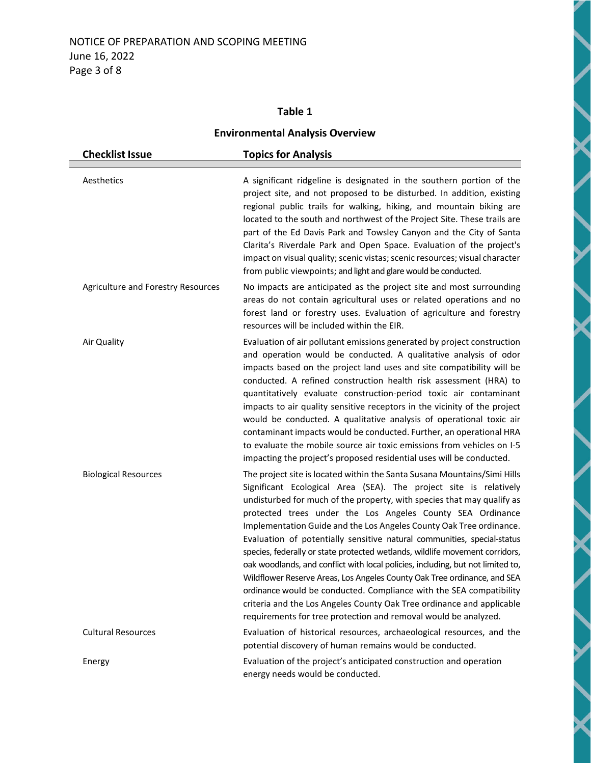## **Table 1**

## **Environmental Analysis Overview**

 $\blacktriangleleft$ 

 $\blacktriangleleft$ 

Í

| <b>Checklist Issue</b>             | <b>Topics for Analysis</b>                                                                                                                                                                                                                                                                                                                                                                                                                                                                                                                                                                                                                                                                                                                                                                                                                                                                                |
|------------------------------------|-----------------------------------------------------------------------------------------------------------------------------------------------------------------------------------------------------------------------------------------------------------------------------------------------------------------------------------------------------------------------------------------------------------------------------------------------------------------------------------------------------------------------------------------------------------------------------------------------------------------------------------------------------------------------------------------------------------------------------------------------------------------------------------------------------------------------------------------------------------------------------------------------------------|
| Aesthetics                         | A significant ridgeline is designated in the southern portion of the<br>project site, and not proposed to be disturbed. In addition, existing<br>regional public trails for walking, hiking, and mountain biking are<br>located to the south and northwest of the Project Site. These trails are<br>part of the Ed Davis Park and Towsley Canyon and the City of Santa<br>Clarita's Riverdale Park and Open Space. Evaluation of the project's<br>impact on visual quality; scenic vistas; scenic resources; visual character<br>from public viewpoints; and light and glare would be conducted.                                                                                                                                                                                                                                                                                                          |
| Agriculture and Forestry Resources | No impacts are anticipated as the project site and most surrounding<br>areas do not contain agricultural uses or related operations and no<br>forest land or forestry uses. Evaluation of agriculture and forestry<br>resources will be included within the EIR.                                                                                                                                                                                                                                                                                                                                                                                                                                                                                                                                                                                                                                          |
| Air Quality                        | Evaluation of air pollutant emissions generated by project construction<br>and operation would be conducted. A qualitative analysis of odor<br>impacts based on the project land uses and site compatibility will be<br>conducted. A refined construction health risk assessment (HRA) to<br>quantitatively evaluate construction-period toxic air contaminant<br>impacts to air quality sensitive receptors in the vicinity of the project<br>would be conducted. A qualitative analysis of operational toxic air<br>contaminant impacts would be conducted. Further, an operational HRA<br>to evaluate the mobile source air toxic emissions from vehicles on I-5<br>impacting the project's proposed residential uses will be conducted.                                                                                                                                                               |
| <b>Biological Resources</b>        | The project site is located within the Santa Susana Mountains/Simi Hills<br>Significant Ecological Area (SEA). The project site is relatively<br>undisturbed for much of the property, with species that may qualify as<br>protected trees under the Los Angeles County SEA Ordinance<br>Implementation Guide and the Los Angeles County Oak Tree ordinance.<br>Evaluation of potentially sensitive natural communities, special-status<br>species, federally or state protected wetlands, wildlife movement corridors,<br>oak woodlands, and conflict with local policies, including, but not limited to,<br>Wildflower Reserve Areas, Los Angeles County Oak Tree ordinance, and SEA<br>ordinance would be conducted. Compliance with the SEA compatibility<br>criteria and the Los Angeles County Oak Tree ordinance and applicable<br>requirements for tree protection and removal would be analyzed. |
| <b>Cultural Resources</b>          | Evaluation of historical resources, archaeological resources, and the<br>potential discovery of human remains would be conducted.                                                                                                                                                                                                                                                                                                                                                                                                                                                                                                                                                                                                                                                                                                                                                                         |
| Energy                             | Evaluation of the project's anticipated construction and operation<br>energy needs would be conducted.                                                                                                                                                                                                                                                                                                                                                                                                                                                                                                                                                                                                                                                                                                                                                                                                    |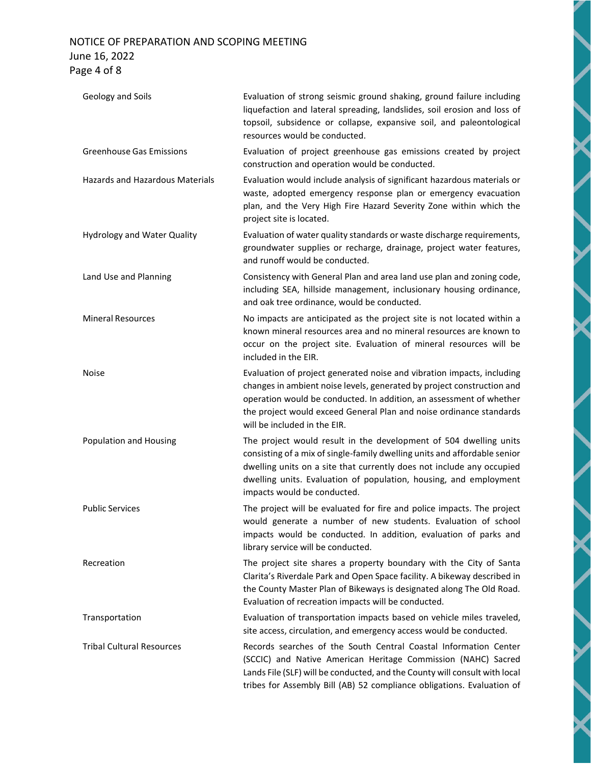## NOTICE OF PREPARATION AND SCOPING MEETING June 16, 2022 Page 4 of 8

| Geology and Soils                      | Evaluation of strong seismic ground shaking, ground failure including<br>liquefaction and lateral spreading, landslides, soil erosion and loss of<br>topsoil, subsidence or collapse, expansive soil, and paleontological<br>resources would be conducted.                                                                     |
|----------------------------------------|--------------------------------------------------------------------------------------------------------------------------------------------------------------------------------------------------------------------------------------------------------------------------------------------------------------------------------|
| <b>Greenhouse Gas Emissions</b>        | Evaluation of project greenhouse gas emissions created by project<br>construction and operation would be conducted.                                                                                                                                                                                                            |
| <b>Hazards and Hazardous Materials</b> | Evaluation would include analysis of significant hazardous materials or<br>waste, adopted emergency response plan or emergency evacuation<br>plan, and the Very High Fire Hazard Severity Zone within which the<br>project site is located.                                                                                    |
| <b>Hydrology and Water Quality</b>     | Evaluation of water quality standards or waste discharge requirements,<br>groundwater supplies or recharge, drainage, project water features,<br>and runoff would be conducted.                                                                                                                                                |
| Land Use and Planning                  | Consistency with General Plan and area land use plan and zoning code,<br>including SEA, hillside management, inclusionary housing ordinance,<br>and oak tree ordinance, would be conducted.                                                                                                                                    |
| <b>Mineral Resources</b>               | No impacts are anticipated as the project site is not located within a<br>known mineral resources area and no mineral resources are known to<br>occur on the project site. Evaluation of mineral resources will be<br>included in the EIR.                                                                                     |
| Noise                                  | Evaluation of project generated noise and vibration impacts, including<br>changes in ambient noise levels, generated by project construction and<br>operation would be conducted. In addition, an assessment of whether<br>the project would exceed General Plan and noise ordinance standards<br>will be included in the EIR. |
| Population and Housing                 | The project would result in the development of 504 dwelling units<br>consisting of a mix of single-family dwelling units and affordable senior<br>dwelling units on a site that currently does not include any occupied<br>dwelling units. Evaluation of population, housing, and employment<br>impacts would be conducted.    |
| <b>Public Services</b>                 | The project will be evaluated for fire and police impacts. The project<br>would generate a number of new students. Evaluation of school<br>impacts would be conducted. In addition, evaluation of parks and<br>library service will be conducted.                                                                              |
| Recreation                             | The project site shares a property boundary with the City of Santa<br>Clarita's Riverdale Park and Open Space facility. A bikeway described in<br>the County Master Plan of Bikeways is designated along The Old Road.<br>Evaluation of recreation impacts will be conducted.                                                  |
| Transportation                         | Evaluation of transportation impacts based on vehicle miles traveled,<br>site access, circulation, and emergency access would be conducted.                                                                                                                                                                                    |
| <b>Tribal Cultural Resources</b>       | Records searches of the South Central Coastal Information Center<br>(SCCIC) and Native American Heritage Commission (NAHC) Sacred<br>Lands File (SLF) will be conducted, and the County will consult with local<br>tribes for Assembly Bill (AB) 52 compliance obligations. Evaluation of                                      |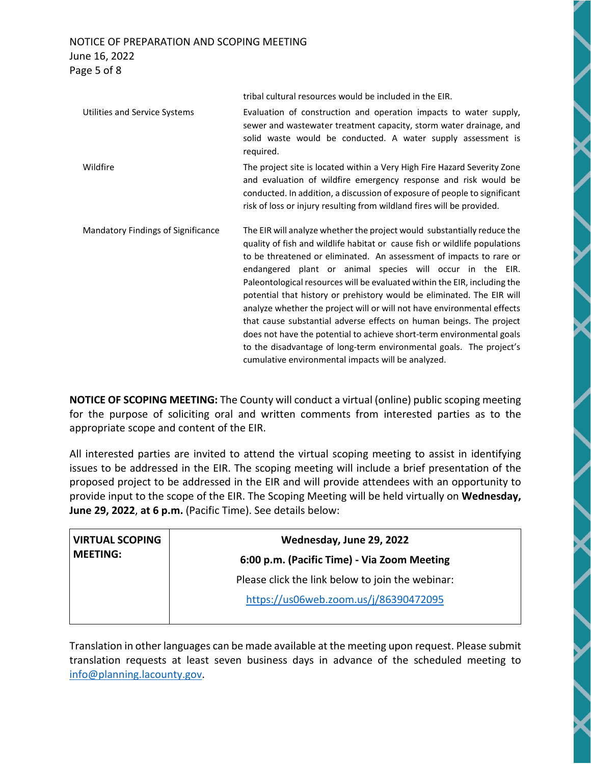### NOTICE OF PREPARATION AND SCOPING MEETING June 16, 2022 Page 5 of 8

tribal cultural resources would be included in the EIR. Utilities and Service Systems Evaluation of construction and operation impacts to water supply, sewer and wastewater treatment capacity, storm water drainage, and solid waste would be conducted. A water supply assessment is required. Wildfire The project site is located within a Very High Fire Hazard Severity Zone and evaluation of wildfire emergency response and risk would be conducted. In addition, a discussion of exposure of people to significant risk of loss or injury resulting from wildland fires will be provided. Mandatory Findings of Significance The EIR will analyze whether the project would substantially reduce the quality of fish and wildlife habitat or cause fish or wildlife populations to be threatened or eliminated. An assessment of impacts to rare or endangered plant or animal species will occur in the EIR. Paleontological resources will be evaluated within the EIR, including the potential that history or prehistory would be eliminated. The EIR will analyze whether the project will or will not have environmental effects that cause substantial adverse effects on human beings. The project does not have the potential to achieve short-term environmental goals to the disadvantage of long-term environmental goals. The project's cumulative environmental impacts will be analyzed.

**NOTICE OF SCOPING MEETING:** The County will conduct a virtual (online) public scoping meeting for the purpose of soliciting oral and written comments from interested parties as to the appropriate scope and content of the EIR.

All interested parties are invited to attend the virtual scoping meeting to assist in identifying issues to be addressed in the EIR. The scoping meeting will include a brief presentation of the proposed project to be addressed in the EIR and will provide attendees with an opportunity to provide input to the scope of the EIR. The Scoping Meeting will be held virtually on **Wednesday, June 29, 2022**, **at 6 p.m.** (Pacific Time). See details below:

| <b>VIRTUAL SCOPING</b><br><b>MEETING:</b> | Wednesday, June 29, 2022                         |
|-------------------------------------------|--------------------------------------------------|
|                                           | 6:00 p.m. (Pacific Time) - Via Zoom Meeting      |
|                                           | Please click the link below to join the webinar: |
|                                           | https://us06web.zoom.us/j/86390472095            |

Translation in other languages can be made available at the meeting upon request. Please submit translation requests at least seven business days in advance of the scheduled meeting to info@planning.lacounty.gov.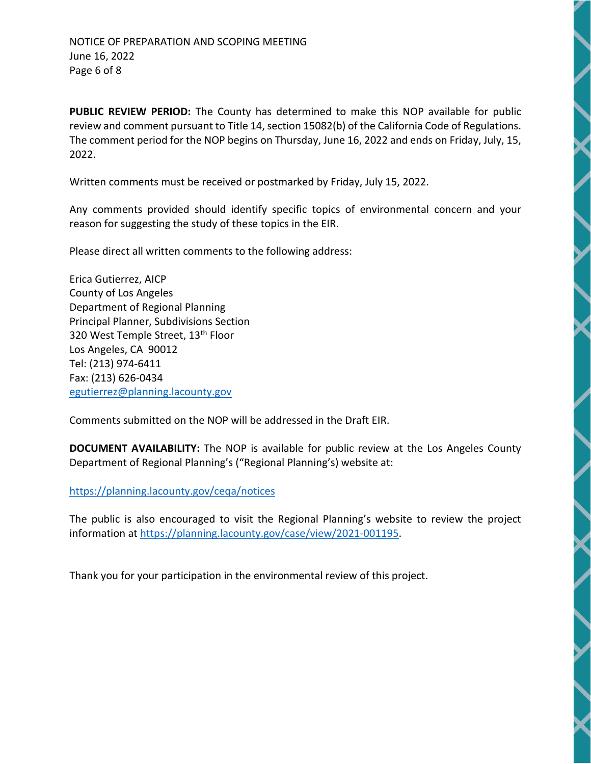**PUBLIC REVIEW PERIOD:** The County has determined to make this NOP available for public review and comment pursuant to Title 14, section 15082(b) of the California Code of Regulations. The comment period for the NOP begins on Thursday, June 16, 2022 and ends on Friday, July, 15, 2022.

Written comments must be received or postmarked by Friday, July 15, 2022.

Any comments provided should identify specific topics of environmental concern and your reason for suggesting the study of these topics in the EIR.

Please direct all written comments to the following address:

Erica Gutierrez, AICP County of Los Angeles Department of Regional Planning Principal Planner, Subdivisions Section 320 West Temple Street, 13<sup>th</sup> Floor Los Angeles, CA 90012 Tel: (213) 974-6411 Fax: (213) 626-0434 egutierrez@planning.lacounty.gov

Comments submitted on the NOP will be addressed in the Draft EIR.

**DOCUMENT AVAILABILITY:** The NOP is available for public review at the Los Angeles County Department of Regional Planning's ("Regional Planning's) website at:

https://planning.lacounty.gov/ceqa/notices

The public is also encouraged to visit the Regional Planning's website to review the project information at https://planning.lacounty.gov/case/view/2021-001195.

Thank you for your participation in the environmental review of this project.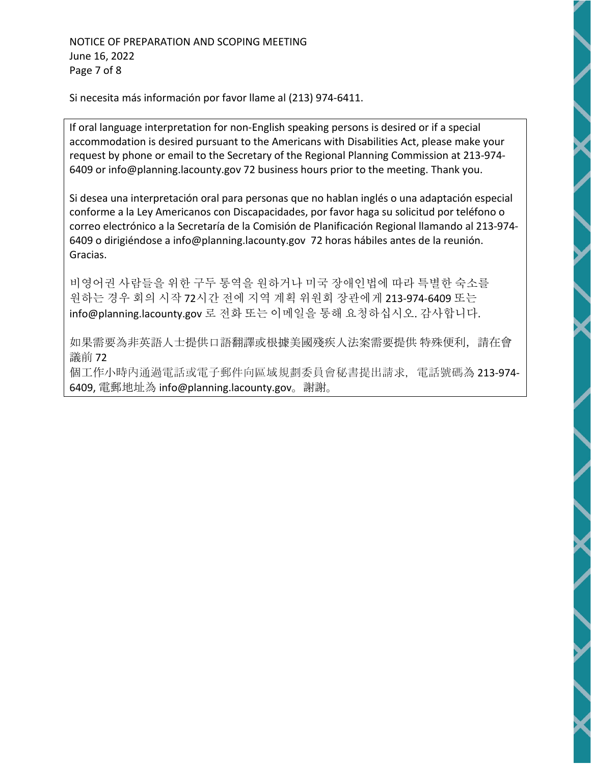Si necesita más información por favor llame al (213) 974-6411.

If oral language interpretation for non-English speaking persons is desired or if a special accommodation is desired pursuant to the Americans with Disabilities Act, please make your request by phone or email to the Secretary of the Regional Planning Commission at 213-974- 6409 or info@planning.lacounty.gov 72 business hours prior to the meeting. Thank you.

Si desea una interpretación oral para personas que no hablan inglés o una adaptación especial conforme a la Ley Americanos con Discapacidades, por favor haga su solicitud por teléfono o correo electrónico a la Secretaría de la Comisión de Planificación Regional llamando al 213-974- 6409 o dirigiéndose a info@planning.lacounty.gov 72 horas hábiles antes de la reunión. Gracias.

비영어권 사람들을 위한 구두 통역을 원하거나 미국 장애인법에 따라 특별한 숙소를 원하는 경우 회의 시작 72시간 전에 지역 계획 위원회 장관에게 213-974-6409 또는 info@planning.lacounty.gov 로 전화 또는 이메일을 통해 요청하십시오. 감사합니다.

如果需要為非英語人士提供口語翻譯或根據美國殘疾人法案需要提供 特殊便利,請在會 議前 72

個工作小時內通過電話或電子郵件向區域規劃委員會秘書提出請求, 電話號碼為 213-974-6409, 電郵地址為 info@planning.lacounty.gov。謝謝。